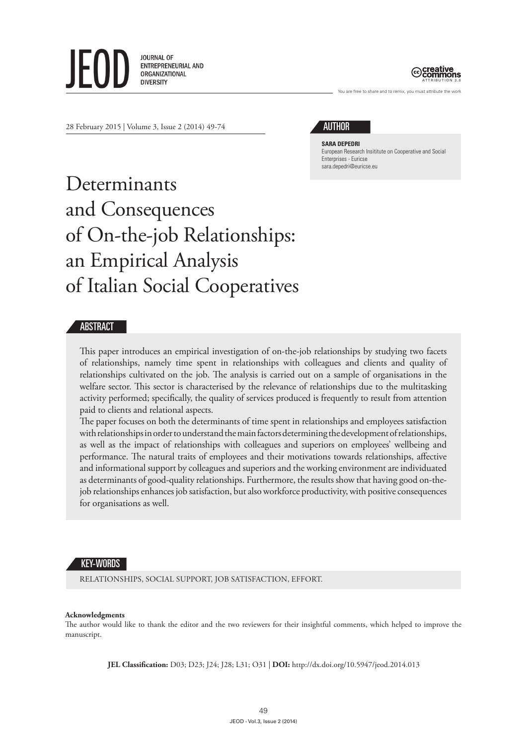**JOURNAL OF** ENTREPRENEURIAL AND ORGANIZATIONAL



are free to share and to remix, you must attribute the work

28 February 2015 | Volume 3, Issue 2 (2014) 49-74

# AUTHOR

**SARA DEPEDRI** European Research Insititute on Cooperative and Social Enterprises - Euricse [sara.depedri@euricse.eu](mailto:sara.depedri@euricse.eu)

# Determinants and Consequences of On-the-job Relationships: an Empirical Analysis of Italian Social Cooperatives

# **ABSTRACT**

This paper introduces an empirical investigation of on-the-job relationships by studying two facets of relationships, namely time spent in relationships with colleagues and clients and quality of relationships cultivated on the job. The analysis is carried out on a sample of organisations in the welfare sector. This sector is characterised by the relevance of relationships due to the multitasking activity performed; specifically, the quality of services produced is frequently to result from attention paid to clients and relational aspects.

The paper focuses on both the determinants of time spent in relationships and employees satisfaction with relationships in order to understand the main factors determining the development of relationships, as well as the impact of relationships with colleagues and superiors on employees' wellbeing and performance. The natural traits of employees and their motivations towards relationships, affective and informational support by colleagues and superiors and the working environment are individuated as determinants of good-quality relationships. Furthermore, the results show that having good on-thejob relationships enhances job satisfaction, but also workforce productivity, with positive consequences for organisations as well.

#### KEY-WORDS

RELATIONSHIPS, SOCIAL SUPPORT, JOB SATISFACTION, EFFORT.

#### **Acknowledgments**

The author would like to thank the editor and the two reviewers for their insightful comments, which helped to improve the manuscript.

**JEL Classification:** D03; D23; J24; J28; L31; O31 | **DOI:** <http://dx.doi.org/10.5947/jeod.2014.013>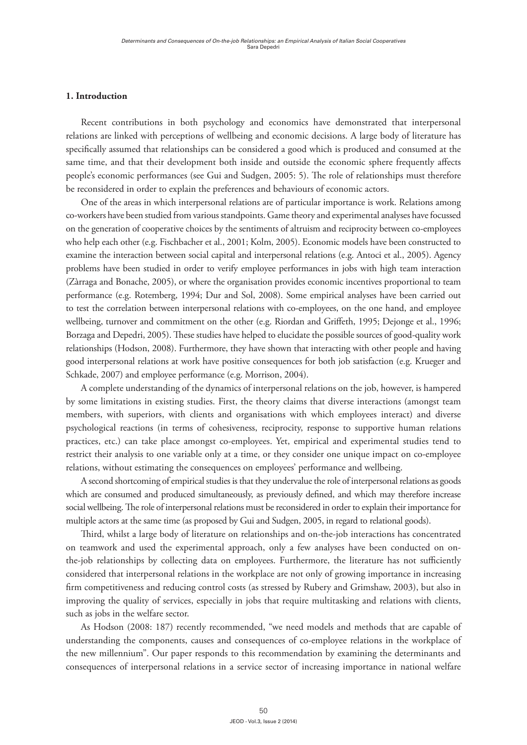# **1. Introduction**

Recent contributions in both psychology and economics have demonstrated that interpersonal relations are linked with perceptions of wellbeing and economic decisions. A large body of literature has specifically assumed that relationships can be considered a good which is produced and consumed at the same time, and that their development both inside and outside the economic sphere frequently affects people's economic performances (see Gui and Sudgen, 2005: 5). The role of relationships must therefore be reconsidered in order to explain the preferences and behaviours of economic actors.

One of the areas in which interpersonal relations are of particular importance is work. Relations among co-workers have been studied from various standpoints. Game theory and experimental analyses have focussed on the generation of cooperative choices by the sentiments of altruism and reciprocity between co-employees who help each other (e.g. Fischbacher et al., 2001; Kolm, 2005). Economic models have been constructed to examine the interaction between social capital and interpersonal relations (e.g. Antoci et al., 2005). Agency problems have been studied in order to verify employee performances in jobs with high team interaction (Zàrraga and Bonache, 2005), or where the organisation provides economic incentives proportional to team performance (e.g. Rotemberg, 1994; Dur and Sol, 2008). Some empirical analyses have been carried out to test the correlation between interpersonal relations with co-employees, on the one hand, and employee wellbeing, turnover and commitment on the other (e.g. Riordan and Griffeth, 1995; Dejonge et al., 1996; Borzaga and Depedri, 2005). These studies have helped to elucidate the possible sources of good-quality work relationships (Hodson, 2008). Furthermore, they have shown that interacting with other people and having good interpersonal relations at work have positive consequences for both job satisfaction (e.g. Krueger and Schkade, 2007) and employee performance (e.g. Morrison, 2004).

A complete understanding of the dynamics of interpersonal relations on the job, however, is hampered by some limitations in existing studies. First, the theory claims that diverse interactions (amongst team members, with superiors, with clients and organisations with which employees interact) and diverse psychological reactions (in terms of cohesiveness, reciprocity, response to supportive human relations practices, etc.) can take place amongst co-employees. Yet, empirical and experimental studies tend to restrict their analysis to one variable only at a time, or they consider one unique impact on co-employee relations, without estimating the consequences on employees' performance and wellbeing.

A second shortcoming of empirical studies is that they undervalue the role of interpersonal relations as goods which are consumed and produced simultaneously, as previously defined, and which may therefore increase social wellbeing. The role of interpersonal relations must be reconsidered in order to explain their importance for multiple actors at the same time (as proposed by Gui and Sudgen, 2005, in regard to relational goods).

Third, whilst a large body of literature on relationships and on-the-job interactions has concentrated on teamwork and used the experimental approach, only a few analyses have been conducted on onthe-job relationships by collecting data on employees. Furthermore, the literature has not sufficiently considered that interpersonal relations in the workplace are not only of growing importance in increasing firm competitiveness and reducing control costs (as stressed by Rubery and Grimshaw, 2003), but also in improving the quality of services, especially in jobs that require multitasking and relations with clients, such as jobs in the welfare sector.

As Hodson (2008: 187) recently recommended, "we need models and methods that are capable of understanding the components, causes and consequences of co-employee relations in the workplace of the new millennium". Our paper responds to this recommendation by examining the determinants and consequences of interpersonal relations in a service sector of increasing importance in national welfare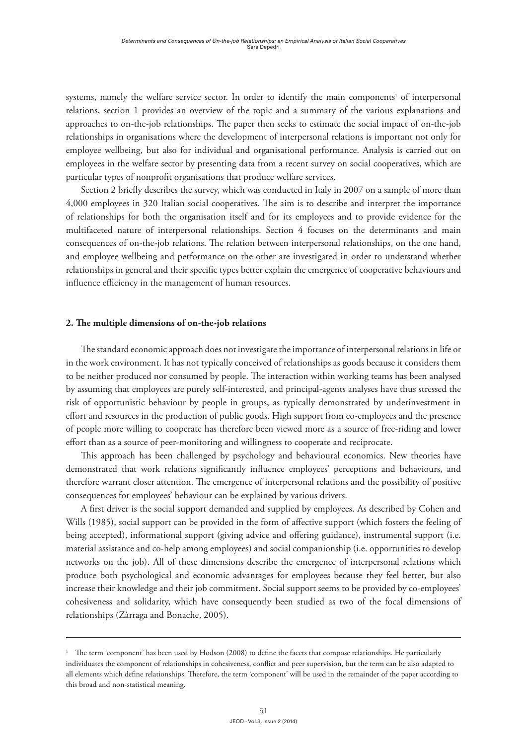systems, namely the welfare service sector. In order to identify the main components<sup>1</sup> of interpersonal relations, section 1 provides an overview of the topic and a summary of the various explanations and approaches to on-the-job relationships. The paper then seeks to estimate the social impact of on-the-job relationships in organisations where the development of interpersonal relations is important not only for employee wellbeing, but also for individual and organisational performance. Analysis is carried out on employees in the welfare sector by presenting data from a recent survey on social cooperatives, which are particular types of nonprofit organisations that produce welfare services.

Section 2 briefly describes the survey, which was conducted in Italy in 2007 on a sample of more than 4,000 employees in 320 Italian social cooperatives. The aim is to describe and interpret the importance of relationships for both the organisation itself and for its employees and to provide evidence for the multifaceted nature of interpersonal relationships. Section 4 focuses on the determinants and main consequences of on-the-job relations. The relation between interpersonal relationships, on the one hand, and employee wellbeing and performance on the other are investigated in order to understand whether relationships in general and their specific types better explain the emergence of cooperative behaviours and influence efficiency in the management of human resources.

#### **2. The multiple dimensions of on-the-job relations**

The standard economic approach does not investigate the importance of interpersonal relations in life or in the work environment. It has not typically conceived of relationships as goods because it considers them to be neither produced nor consumed by people. The interaction within working teams has been analysed by assuming that employees are purely self-interested, and principal-agents analyses have thus stressed the risk of opportunistic behaviour by people in groups, as typically demonstrated by underinvestment in effort and resources in the production of public goods. High support from co-employees and the presence of people more willing to cooperate has therefore been viewed more as a source of free-riding and lower effort than as a source of peer-monitoring and willingness to cooperate and reciprocate.

This approach has been challenged by psychology and behavioural economics. New theories have demonstrated that work relations significantly influence employees' perceptions and behaviours, and therefore warrant closer attention. The emergence of interpersonal relations and the possibility of positive consequences for employees' behaviour can be explained by various drivers.

A first driver is the social support demanded and supplied by employees. As described by Cohen and Wills (1985), social support can be provided in the form of affective support (which fosters the feeling of being accepted), informational support (giving advice and offering guidance), instrumental support (i.e. material assistance and co-help among employees) and social companionship (i.e. opportunities to develop networks on the job). All of these dimensions describe the emergence of interpersonal relations which produce both psychological and economic advantages for employees because they feel better, but also increase their knowledge and their job commitment. Social support seems to be provided by co-employees' cohesiveness and solidarity, which have consequently been studied as two of the focal dimensions of relationships (Zàrraga and Bonache, 2005).

<sup>&</sup>lt;sup>1</sup> The term 'component' has been used by Hodson (2008) to define the facets that compose relationships. He particularly individuates the component of relationships in cohesiveness, conflict and peer supervision, but the term can be also adapted to all elements which define relationships. Therefore, the term 'component' will be used in the remainder of the paper according to this broad and non-statistical meaning.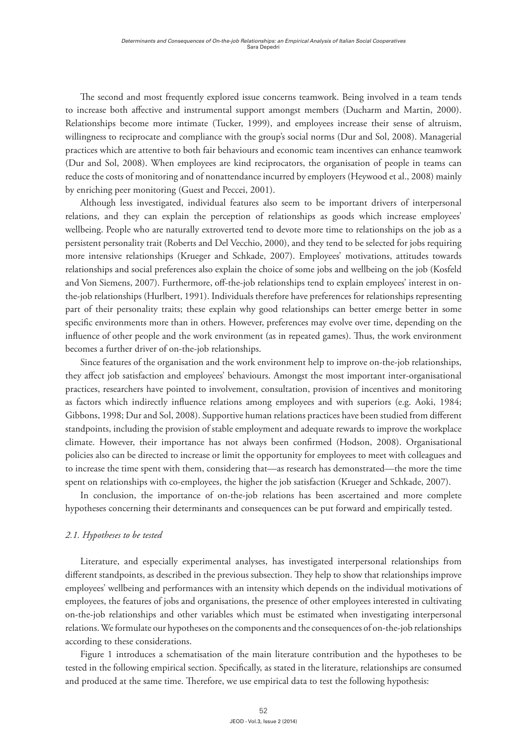The second and most frequently explored issue concerns teamwork. Being involved in a team tends to increase both affective and instrumental support amongst members (Ducharm and Martin, 2000). Relationships become more intimate (Tucker, 1999), and employees increase their sense of altruism, willingness to reciprocate and compliance with the group's social norms (Dur and Sol, 2008). Managerial practices which are attentive to both fair behaviours and economic team incentives can enhance teamwork (Dur and Sol, 2008). When employees are kind reciprocators, the organisation of people in teams can reduce the costs of monitoring and of nonattendance incurred by employers (Heywood et al., 2008) mainly by enriching peer monitoring (Guest and Peccei, 2001).

Although less investigated, individual features also seem to be important drivers of interpersonal relations, and they can explain the perception of relationships as goods which increase employees' wellbeing. People who are naturally extroverted tend to devote more time to relationships on the job as a persistent personality trait (Roberts and Del Vecchio, 2000), and they tend to be selected for jobs requiring more intensive relationships (Krueger and Schkade, 2007). Employees' motivations, attitudes towards relationships and social preferences also explain the choice of some jobs and wellbeing on the job (Kosfeld and Von Siemens, 2007). Furthermore, off-the-job relationships tend to explain employees' interest in onthe-job relationships (Hurlbert, 1991). Individuals therefore have preferences for relationships representing part of their personality traits; these explain why good relationships can better emerge better in some specific environments more than in others. However, preferences may evolve over time, depending on the influence of other people and the work environment (as in repeated games). Thus, the work environment becomes a further driver of on-the-job relationships.

Since features of the organisation and the work environment help to improve on-the-job relationships, they affect job satisfaction and employees' behaviours. Amongst the most important inter-organisational practices, researchers have pointed to involvement, consultation, provision of incentives and monitoring as factors which indirectly influence relations among employees and with superiors (e.g. Aoki, 1984; Gibbons, 1998; Dur and Sol, 2008). Supportive human relations practices have been studied from different standpoints, including the provision of stable employment and adequate rewards to improve the workplace climate. However, their importance has not always been confirmed (Hodson, 2008). Organisational policies also can be directed to increase or limit the opportunity for employees to meet with colleagues and to increase the time spent with them, considering that—as research has demonstrated—the more the time spent on relationships with co-employees, the higher the job satisfaction (Krueger and Schkade, 2007).

In conclusion, the importance of on-the-job relations has been ascertained and more complete hypotheses concerning their determinants and consequences can be put forward and empirically tested.

# *2.1. Hypotheses to be tested*

Literature, and especially experimental analyses, has investigated interpersonal relationships from different standpoints, as described in the previous subsection. They help to show that relationships improve employees' wellbeing and performances with an intensity which depends on the individual motivations of employees, the features of jobs and organisations, the presence of other employees interested in cultivating on-the-job relationships and other variables which must be estimated when investigating interpersonal relations. We formulate our hypotheses on the components and the consequences of on-the-job relationships according to these considerations.

Figure 1 introduces a schematisation of the main literature contribution and the hypotheses to be tested in the following empirical section. Specifically, as stated in the literature, relationships are consumed and produced at the same time. Therefore, we use empirical data to test the following hypothesis: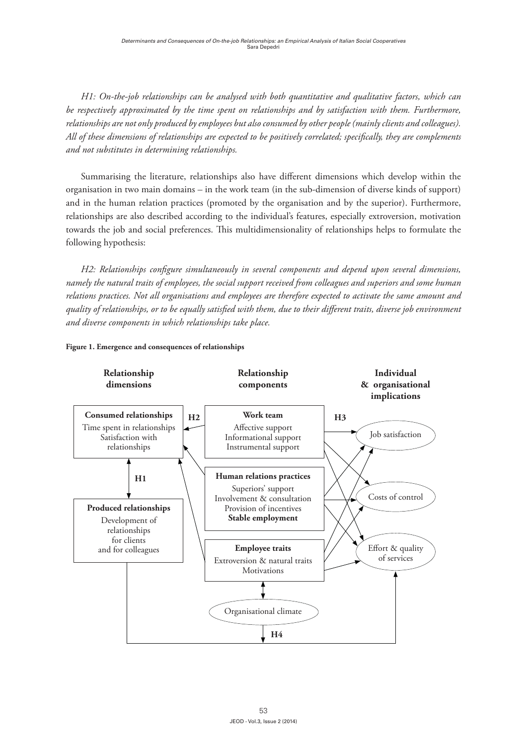*H1: On-the-job relationships can be analysed with both quantitative and qualitative factors, which can be respectively approximated by the time spent on relationships and by satisfaction with them. Furthermore, relationships are not only produced by employees but also consumed by other people (mainly clients and colleagues). All of these dimensions of relationships are expected to be positively correlated; specifically, they are complements and not substitutes in determining relationships.*

Summarising the literature, relationships also have different dimensions which develop within the organisation in two main domains – in the work team (in the sub-dimension of diverse kinds of support) and in the human relation practices (promoted by the organisation and by the superior). Furthermore, relationships are also described according to the individual's features, especially extroversion, motivation towards the job and social preferences. This multidimensionality of relationships helps to formulate the following hypothesis:

*H2: Relationships configure simultaneously in several components and depend upon several dimensions, namely the natural traits of employees, the social support received from colleagues and superiors and some human relations practices. Not all organisations and employees are therefore expected to activate the same amount and quality of relationships, or to be equally satisfied with them, due to their different traits, diverse job environment and diverse components in which relationships take place.*



#### **Figure 1. Emergence and consequences of relationships**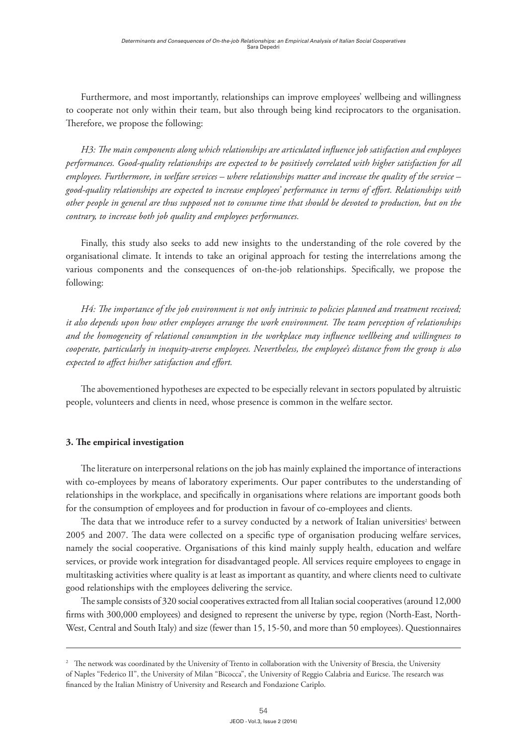Furthermore, and most importantly, relationships can improve employees' wellbeing and willingness to cooperate not only within their team, but also through being kind reciprocators to the organisation. Therefore, we propose the following:

*H3: The main components along which relationships are articulated influence job satisfaction and employees performances. Good-quality relationships are expected to be positively correlated with higher satisfaction for all employees. Furthermore, in welfare services – where relationships matter and increase the quality of the service – good-quality relationships are expected to increase employees' performance in terms of effort. Relationships with other people in general are thus supposed not to consume time that should be devoted to production, but on the contrary, to increase both job quality and employees performances.*

Finally, this study also seeks to add new insights to the understanding of the role covered by the organisational climate. It intends to take an original approach for testing the interrelations among the various components and the consequences of on-the-job relationships. Specifically, we propose the following:

*H4: The importance of the job environment is not only intrinsic to policies planned and treatment received; it also depends upon how other employees arrange the work environment. The team perception of relationships and the homogeneity of relational consumption in the workplace may influence wellbeing and willingness to cooperate, particularly in inequity-averse employees. Nevertheless, the employee's distance from the group is also expected to affect his/her satisfaction and effort.*

The abovementioned hypotheses are expected to be especially relevant in sectors populated by altruistic people, volunteers and clients in need, whose presence is common in the welfare sector.

# **3. The empirical investigation**

The literature on interpersonal relations on the job has mainly explained the importance of interactions with co-employees by means of laboratory experiments. Our paper contributes to the understanding of relationships in the workplace, and specifically in organisations where relations are important goods both for the consumption of employees and for production in favour of co-employees and clients.

The data that we introduce refer to a survey conducted by a network of Italian universities $^2$  between 2005 and 2007. The data were collected on a specific type of organisation producing welfare services, namely the social cooperative. Organisations of this kind mainly supply health, education and welfare services, or provide work integration for disadvantaged people. All services require employees to engage in multitasking activities where quality is at least as important as quantity, and where clients need to cultivate good relationships with the employees delivering the service.

The sample consists of 320 social cooperatives extracted from all Italian social cooperatives (around 12,000 firms with 300,000 employees) and designed to represent the universe by type, region (North-East, North-West, Central and South Italy) and size (fewer than 15, 15-50, and more than 50 employees). Questionnaires

<sup>2</sup> The network was coordinated by the University of Trento in collaboration with the University of Brescia, the University of Naples "Federico II", the University of Milan "Bicocca", the University of Reggio Calabria and Euricse. The research was financed by the Italian Ministry of University and Research and Fondazione Cariplo.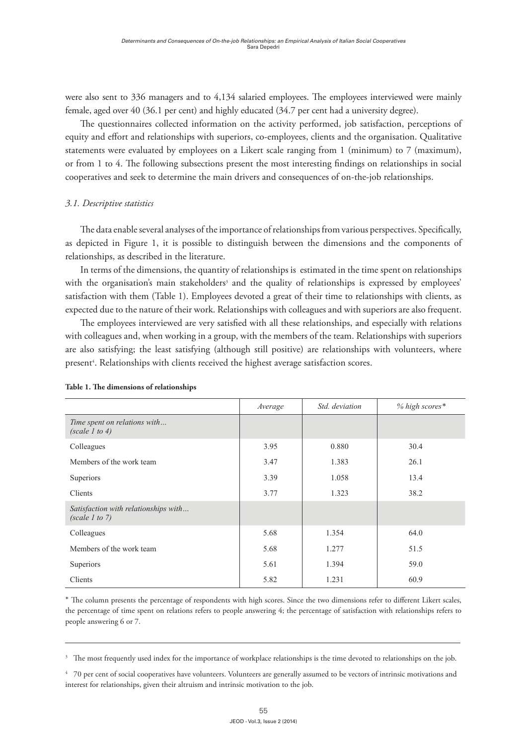were also sent to 336 managers and to 4,134 salaried employees. The employees interviewed were mainly female, aged over 40 (36.1 per cent) and highly educated (34.7 per cent had a university degree).

The questionnaires collected information on the activity performed, job satisfaction, perceptions of equity and effort and relationships with superiors, co-employees, clients and the organisation. Qualitative statements were evaluated by employees on a Likert scale ranging from 1 (minimum) to 7 (maximum), or from 1 to 4. The following subsections present the most interesting findings on relationships in social cooperatives and seek to determine the main drivers and consequences of on-the-job relationships.

# *3.1. Descriptive statistics*

The data enable several analyses of the importance of relationships from various perspectives. Specifically, as depicted in Figure 1, it is possible to distinguish between the dimensions and the components of relationships, as described in the literature.

In terms of the dimensions, the quantity of relationships is estimated in the time spent on relationships with the organisation's main stakeholders<sup>3</sup> and the quality of relationships is expressed by employees' satisfaction with them (Table 1). Employees devoted a great of their time to relationships with clients, as expected due to the nature of their work. Relationships with colleagues and with superiors are also frequent.

The employees interviewed are very satisfied with all these relationships, and especially with relations with colleagues and, when working in a group, with the members of the team. Relationships with superiors are also satisfying; the least satisfying (although still positive) are relationships with volunteers, where present<sup>4</sup>. Relationships with clients received the highest average satisfaction scores.

|                                                        | Average | Std. deviation | % high scores* |
|--------------------------------------------------------|---------|----------------|----------------|
| Time spent on relations with<br>(scale 1 to 4)         |         |                |                |
| Colleagues                                             | 3.95    | 0.880          | 30.4           |
| Members of the work team                               | 3.47    | 1.383          | 26.1           |
| Superiors                                              | 3.39    | 1.058          | 13.4           |
| Clients                                                | 3.77    | 1.323          | 38.2           |
| Satisfaction with relationships with<br>(scale 1 to 7) |         |                |                |
| Colleagues                                             | 5.68    | 1.354          | 64.0           |
| Members of the work team                               | 5.68    | 1.277          | 51.5           |
| Superiors                                              | 5.61    | 1.394          | 59.0           |
| Clients                                                | 5.82    | 1.231          | 60.9           |

#### **Table 1. The dimensions of relationships**

\* The column presents the percentage of respondents with high scores. Since the two dimensions refer to different Likert scales, the percentage of time spent on relations refers to people answering 4; the percentage of satisfaction with relationships refers to people answering 6 or 7.

<sup>3</sup> The most frequently used index for the importance of workplace relationships is the time devoted to relationships on the job.

 $4$  70 per cent of social cooperatives have volunteers. Volunteers are generally assumed to be vectors of intrinsic motivations and interest for relationships, given their altruism and intrinsic motivation to the job.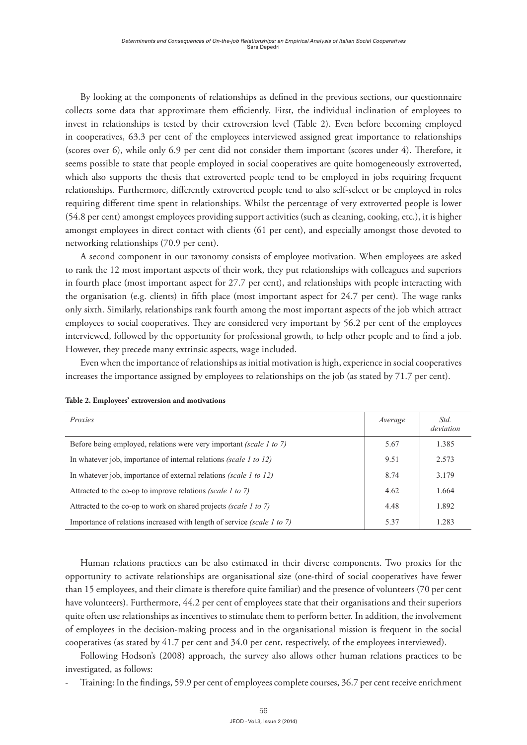By looking at the components of relationships as defined in the previous sections, our questionnaire collects some data that approximate them efficiently. First, the individual inclination of employees to invest in relationships is tested by their extroversion level (Table 2). Even before becoming employed in cooperatives, 63.3 per cent of the employees interviewed assigned great importance to relationships (scores over 6), while only 6.9 per cent did not consider them important (scores under 4). Therefore, it seems possible to state that people employed in social cooperatives are quite homogeneously extroverted, which also supports the thesis that extroverted people tend to be employed in jobs requiring frequent relationships. Furthermore, differently extroverted people tend to also self-select or be employed in roles requiring different time spent in relationships. Whilst the percentage of very extroverted people is lower (54.8 per cent) amongst employees providing support activities (such as cleaning, cooking, etc*.*), it is higher amongst employees in direct contact with clients (61 per cent), and especially amongst those devoted to networking relationships (70.9 per cent).

A second component in our taxonomy consists of employee motivation. When employees are asked to rank the 12 most important aspects of their work, they put relationships with colleagues and superiors in fourth place (most important aspect for 27.7 per cent), and relationships with people interacting with the organisation (e.g. clients) in fifth place (most important aspect for 24.7 per cent). The wage ranks only sixth. Similarly, relationships rank fourth among the most important aspects of the job which attract employees to social cooperatives. They are considered very important by 56.2 per cent of the employees interviewed, followed by the opportunity for professional growth, to help other people and to find a job. However, they precede many extrinsic aspects, wage included.

Even when the importance of relationships as initial motivation is high, experience in social cooperatives increases the importance assigned by employees to relationships on the job (as stated by 71.7 per cent).

| Proxies                                                                        | Average | Std.<br>deviation |
|--------------------------------------------------------------------------------|---------|-------------------|
| Before being employed, relations were very important <i>(scale 1 to 7)</i>     | 5.67    | 1.385             |
| In whatever job, importance of internal relations (scale 1 to 12)              | 9.51    | 2.573             |
| In whatever job, importance of external relations (scale 1 to 12)              | 8.74    | 3.179             |
| Attracted to the co-op to improve relations <i>(scale 1 to 7)</i>              |         | 1.664             |
| Attracted to the co-op to work on shared projects (scale 1 to 7)               | 4.48    | 1.892             |
| Importance of relations increased with length of service <i>(scale 1 to 7)</i> | 5.37    | 1.283             |

**Table 2. Employees' extroversion and motivations**

Human relations practices can be also estimated in their diverse components. Two proxies for the opportunity to activate relationships are organisational size (one-third of social cooperatives have fewer than 15 employees, and their climate is therefore quite familiar) and the presence of volunteers (70 per cent have volunteers). Furthermore, 44.2 per cent of employees state that their organisations and their superiors quite often use relationships as incentives to stimulate them to perform better. In addition, the involvement of employees in the decision-making process and in the organisational mission is frequent in the social cooperatives (as stated by 41.7 per cent and 34.0 per cent, respectively, of the employees interviewed).

Following Hodson's (2008) approach, the survey also allows other human relations practices to be investigated, as follows:

Training: In the findings, 59.9 per cent of employees complete courses, 36.7 per cent receive enrichment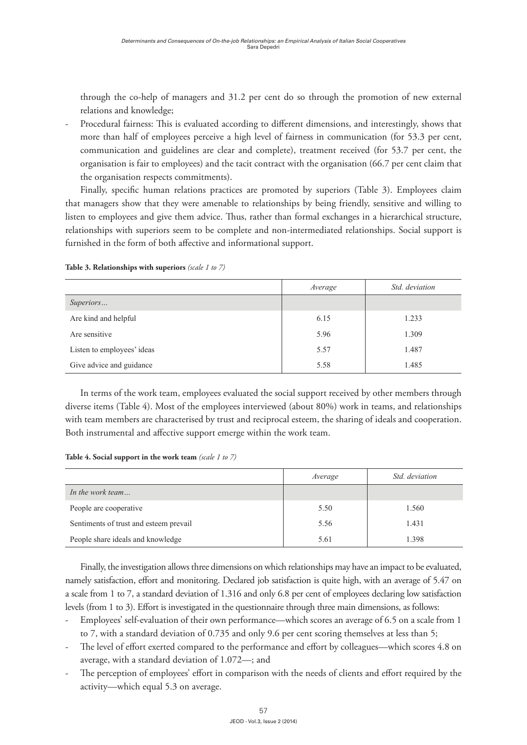through the co-help of managers and 31.2 per cent do so through the promotion of new external relations and knowledge;

Procedural fairness: This is evaluated according to different dimensions, and interestingly, shows that more than half of employees perceive a high level of fairness in communication (for 53.3 per cent, communication and guidelines are clear and complete), treatment received (for 53.7 per cent, the organisation is fair to employees) and the tacit contract with the organisation (66.7 per cent claim that the organisation respects commitments).

Finally, specific human relations practices are promoted by superiors (Table 3). Employees claim that managers show that they were amenable to relationships by being friendly, sensitive and willing to listen to employees and give them advice. Thus, rather than formal exchanges in a hierarchical structure, relationships with superiors seem to be complete and non-intermediated relationships. Social support is furnished in the form of both affective and informational support.

|                            | Average | Std. deviation |
|----------------------------|---------|----------------|
| Superiors                  |         |                |
| Are kind and helpful       | 6.15    | 1.233          |
| Are sensitive              | 5.96    | 1.309          |
| Listen to employees' ideas | 5.57    | 1.487          |
| Give advice and guidance   | 5.58    | 1.485          |

**Table 3. Relationships with superiors** *(scale 1 to 7)*

In terms of the work team, employees evaluated the social support received by other members through diverse items (Table 4). Most of the employees interviewed (about 80%) work in teams, and relationships with team members are characterised by trust and reciprocal esteem, the sharing of ideals and cooperation. Both instrumental and affective support emerge within the work team.

**Table 4. Social support in the work team** *(scale 1 to 7)*

|                                        | Average | Std. deviation |
|----------------------------------------|---------|----------------|
| In the work team                       |         |                |
| People are cooperative                 | 5.50    | 1.560          |
| Sentiments of trust and esteem prevail | 5.56    | 1.431          |
| People share ideals and knowledge      | 5.61    | 1.398          |

Finally, the investigation allows three dimensions on which relationships may have an impact to be evaluated, namely satisfaction, effort and monitoring. Declared job satisfaction is quite high, with an average of 5.47 on a scale from 1 to 7, a standard deviation of 1.316 and only 6.8 per cent of employees declaring low satisfaction levels (from 1 to 3). Effort is investigated in the questionnaire through three main dimensions, as follows:

- Employees' self-evaluation of their own performance—which scores an average of 6.5 on a scale from 1 to 7, with a standard deviation of 0.735 and only 9.6 per cent scoring themselves at less than 5;
- The level of effort exerted compared to the performance and effort by colleagues—which scores 4.8 on average, with a standard deviation of 1.072—; and
- The perception of employees' effort in comparison with the needs of clients and effort required by the activity—which equal 5.3 on average.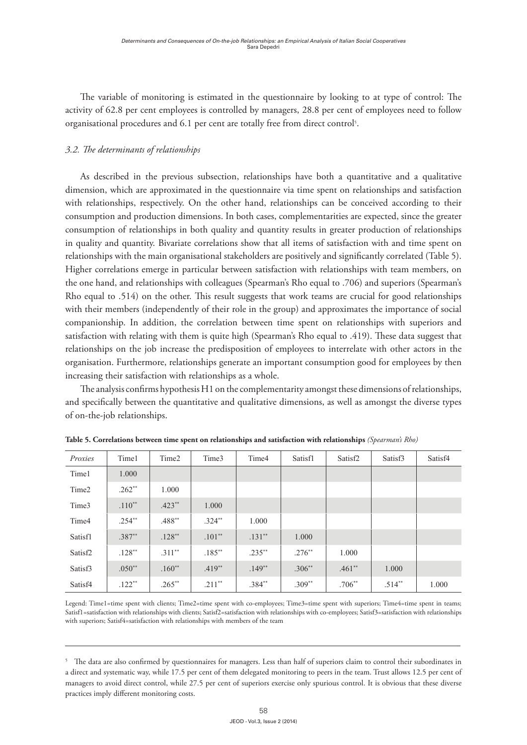The variable of monitoring is estimated in the questionnaire by looking to at type of control: The activity of 62.8 per cent employees is controlled by managers, 28.8 per cent of employees need to follow organisational procedures and 6.1 per cent are totally free from direct control<sup>5</sup>.

# *3.2. The determinants of relationships*

As described in the previous subsection, relationships have both a quantitative and a qualitative dimension, which are approximated in the questionnaire via time spent on relationships and satisfaction with relationships, respectively. On the other hand, relationships can be conceived according to their consumption and production dimensions. In both cases, complementarities are expected, since the greater consumption of relationships in both quality and quantity results in greater production of relationships in quality and quantity. Bivariate correlations show that all items of satisfaction with and time spent on relationships with the main organisational stakeholders are positively and significantly correlated (Table 5). Higher correlations emerge in particular between satisfaction with relationships with team members, on the one hand, and relationships with colleagues (Spearman's Rho equal to .706) and superiors (Spearman's Rho equal to .514) on the other. This result suggests that work teams are crucial for good relationships with their members (independently of their role in the group) and approximates the importance of social companionship. In addition, the correlation between time spent on relationships with superiors and satisfaction with relating with them is quite high (Spearman's Rho equal to .419). These data suggest that relationships on the job increase the predisposition of employees to interrelate with other actors in the organisation. Furthermore, relationships generate an important consumption good for employees by then increasing their satisfaction with relationships as a whole.

The analysis confirms hypothesis H1 on the complementarity amongst these dimensions of relationships, and specifically between the quantitative and qualitative dimensions, as well as amongst the diverse types of on-the-job relationships.

| Proxies             | Time1    | Time2    | Time3     | Time4     | Satisf1  | Satisf <sub>2</sub> | Satisf3  | Satisf4 |
|---------------------|----------|----------|-----------|-----------|----------|---------------------|----------|---------|
| Time1               | 1.000    |          |           |           |          |                     |          |         |
| Time <sub>2</sub>   | $.262**$ | 1.000    |           |           |          |                     |          |         |
| Time3               | $.110**$ | $.423**$ | 1.000     |           |          |                     |          |         |
| Time4               | $.254**$ | $.488**$ | $.324**$  | 1.000     |          |                     |          |         |
| Satisf1             | $.387**$ | $.128**$ | $.101**$  | $.131**$  | 1.000    |                     |          |         |
| Satisf <sub>2</sub> | $.128**$ | $.311**$ | $.185***$ | $.235***$ | $.276**$ | 1.000               |          |         |
| Satisf3             | $.050**$ | $.160**$ | $.419**$  | $.149**$  | $.306**$ | $.461**$            | 1.000    |         |
| Satisf4             | $.122**$ | $.265**$ | $.211**$  | .384**    | $.309**$ | $.706**$            | $.514**$ | 1.000   |

**Table 5. Correlations between time spent on relationships and satisfaction with relationships** *(Spearman's Rho)*

Legend: Time1=time spent with clients; Time2=time spent with co-employees; Time3=time spent with superiors; Time4=time spent in teams; Satisf1=satisfaction with relationships with clients; Satisf2=satisfaction with relationships with co-employees; Satisf3=satisfaction with relationships with superiors; Satisf4=satisfaction with relationships with members of the team

 $5$  The data are also confirmed by questionnaires for managers. Less than half of superiors claim to control their subordinates in a direct and systematic way, while 17.5 per cent of them delegated monitoring to peers in the team. Trust allows 12.5 per cent of managers to avoid direct control, while 27.5 per cent of superiors exercise only spurious control. It is obvious that these diverse practices imply different monitoring costs.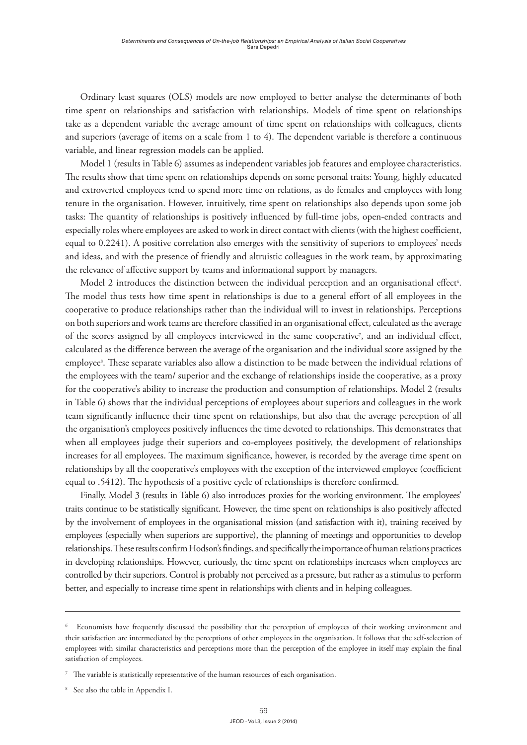Ordinary least squares (OLS) models are now employed to better analyse the determinants of both time spent on relationships and satisfaction with relationships. Models of time spent on relationships take as a dependent variable the average amount of time spent on relationships with colleagues, clients and superiors (average of items on a scale from 1 to 4). The dependent variable is therefore a continuous variable, and linear regression models can be applied.

Model 1 (results in Table 6) assumes as independent variables job features and employee characteristics. The results show that time spent on relationships depends on some personal traits: Young, highly educated and extroverted employees tend to spend more time on relations, as do females and employees with long tenure in the organisation. However, intuitively, time spent on relationships also depends upon some job tasks: The quantity of relationships is positively influenced by full-time jobs, open-ended contracts and especially roles where employees are asked to work in direct contact with clients (with the highest coefficient, equal to 0.2241). A positive correlation also emerges with the sensitivity of superiors to employees' needs and ideas, and with the presence of friendly and altruistic colleagues in the work team, by approximating the relevance of affective support by teams and informational support by managers.

Model 2 introduces the distinction between the individual perception and an organisational effect<sup>6</sup>. The model thus tests how time spent in relationships is due to a general effort of all employees in the cooperative to produce relationships rather than the individual will to invest in relationships. Perceptions on both superiors and work teams are therefore classified in an organisational effect, calculated as the average of the scores assigned by all employees interviewed in the same cooperative<sup>7</sup>, and an individual effect, calculated as the difference between the average of the organisation and the individual score assigned by the employee®. These separate variables also allow a distinction to be made between the individual relations of the employees with the team/ superior and the exchange of relationships inside the cooperative, as a proxy for the cooperative's ability to increase the production and consumption of relationships. Model 2 (results in Table 6) shows that the individual perceptions of employees about superiors and colleagues in the work team significantly influence their time spent on relationships, but also that the average perception of all the organisation's employees positively influences the time devoted to relationships. This demonstrates that when all employees judge their superiors and co-employees positively, the development of relationships increases for all employees. The maximum significance, however, is recorded by the average time spent on relationships by all the cooperative's employees with the exception of the interviewed employee (coefficient equal to .5412). The hypothesis of a positive cycle of relationships is therefore confirmed.

Finally, Model 3 (results in Table 6) also introduces proxies for the working environment. The employees' traits continue to be statistically significant. However, the time spent on relationships is also positively affected by the involvement of employees in the organisational mission (and satisfaction with it), training received by employees (especially when superiors are supportive), the planning of meetings and opportunities to develop relationships. These results confirm Hodson's findings, and specifically the importance of human relations practices in developing relationships. However, curiously, the time spent on relationships increases when employees are controlled by their superiors. Control is probably not perceived as a pressure, but rather as a stimulus to perform better, and especially to increase time spent in relationships with clients and in helping colleagues.

<sup>6</sup> Economists have frequently discussed the possibility that the perception of employees of their working environment and their satisfaction are intermediated by the perceptions of other employees in the organisation. It follows that the self-selection of employees with similar characteristics and perceptions more than the perception of the employee in itself may explain the final satisfaction of employees.

<sup>7</sup> The variable is statistically representative of the human resources of each organisation.

<sup>8</sup> See also the table in Appendix I.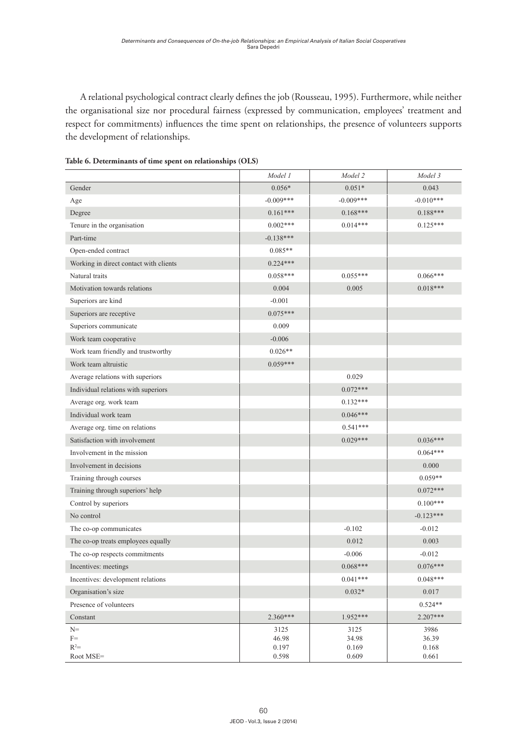A relational psychological contract clearly defines the job (Rousseau, 1995). Furthermore, while neither the organisational size nor procedural fairness (expressed by communication, employees' treatment and respect for commitments) influences the time spent on relationships, the presence of volunteers supports the development of relationships.

|                                        | Model 1        | Model 2        | Model 3        |
|----------------------------------------|----------------|----------------|----------------|
| Gender                                 | $0.056*$       | $0.051*$       | 0.043          |
| Age                                    | $-0.009***$    | $-0.009***$    | $-0.010***$    |
| Degree                                 | $0.161***$     | $0.168***$     | $0.188***$     |
| Tenure in the organisation             | $0.002***$     | $0.014***$     | $0.125***$     |
| Part-time                              | $-0.138***$    |                |                |
| Open-ended contract                    | $0.085**$      |                |                |
| Working in direct contact with clients | $0.224***$     |                |                |
| Natural traits                         | $0.058***$     | $0.055***$     | $0.066***$     |
| Motivation towards relations           | 0.004          | 0.005          | $0.018***$     |
| Superiors are kind                     | $-0.001$       |                |                |
| Superiors are receptive                | $0.075***$     |                |                |
| Superiors communicate                  | 0.009          |                |                |
| Work team cooperative                  | $-0.006$       |                |                |
| Work team friendly and trustworthy     | $0.026**$      |                |                |
| Work team altruistic                   | $0.059***$     |                |                |
| Average relations with superiors       |                | 0.029          |                |
| Individual relations with superiors    |                | $0.072***$     |                |
| Average org. work team                 |                | $0.132***$     |                |
| Individual work team                   |                | $0.046***$     |                |
| Average org. time on relations         |                | $0.541***$     |                |
| Satisfaction with involvement          |                | $0.029***$     | $0.036***$     |
| Involvement in the mission             |                |                | $0.064***$     |
| Involvement in decisions               |                |                | 0.000          |
| Training through courses               |                |                | $0.059**$      |
| Training through superiors' help       |                |                | $0.072***$     |
| Control by superiors                   |                |                | $0.100***$     |
| No control                             |                |                | $-0.123***$    |
| The co-op communicates                 |                | $-0.102$       | $-0.012$       |
| The co-op treats employees equally     |                | 0.012          | 0.003          |
| The co-op respects commitments         |                | $-0.006$       | $-0.012$       |
| Incentives: meetings                   |                | $0.068***$     | $0.076***$     |
| Incentives: development relations      |                | $0.041***$     | $0.048***$     |
| Organisation's size                    |                | $0.032*$       | $0.017\,$      |
| Presence of volunteers                 |                |                | $0.524**$      |
| Constant                               | $2.360***$     | 1.952***       | 2.207***       |
| $N=$                                   | 3125           | 3125           | 3986           |
| $F =$<br>$R^2=$                        | 46.98<br>0.197 | 34.98<br>0.169 | 36.39<br>0.168 |
| ${\rm Root}$ ${\rm MSE}{=}$            | 0.598          | 0.609          | 0.661          |

**Table 6. Determinants of time spent on relationships (OLS)**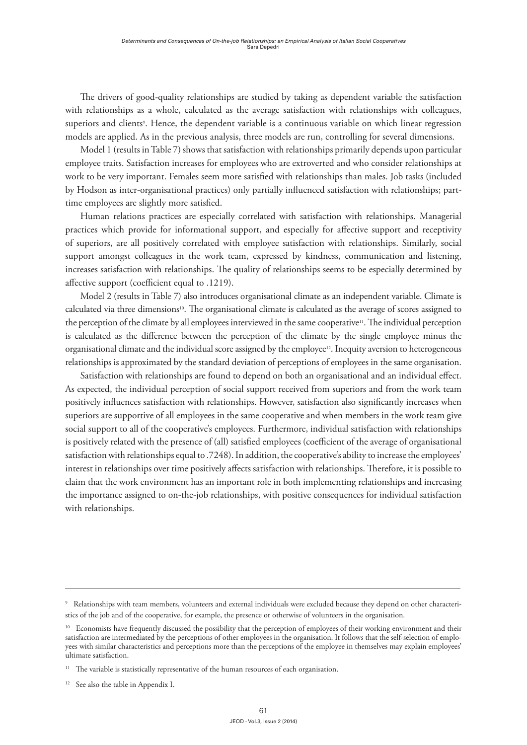The drivers of good-quality relationships are studied by taking as dependent variable the satisfaction with relationships as a whole, calculated as the average satisfaction with relationships with colleagues, superiors and clients°. Hence, the dependent variable is a continuous variable on which linear regression models are applied. As in the previous analysis, three models are run, controlling for several dimensions.

Model 1 (results in Table 7) shows that satisfaction with relationships primarily depends upon particular employee traits. Satisfaction increases for employees who are extroverted and who consider relationships at work to be very important. Females seem more satisfied with relationships than males. Job tasks (included by Hodson as inter-organisational practices) only partially influenced satisfaction with relationships; parttime employees are slightly more satisfied.

Human relations practices are especially correlated with satisfaction with relationships. Managerial practices which provide for informational support, and especially for affective support and receptivity of superiors, are all positively correlated with employee satisfaction with relationships. Similarly, social support amongst colleagues in the work team, expressed by kindness, communication and listening, increases satisfaction with relationships. The quality of relationships seems to be especially determined by affective support (coefficient equal to .1219).

Model 2 (results in Table 7) also introduces organisational climate as an independent variable. Climate is calculated via three dimensions<sup>10</sup>. The organisational climate is calculated as the average of scores assigned to the perception of the climate by all employees interviewed in the same cooperative11. The individual perception is calculated as the difference between the perception of the climate by the single employee minus the organisational climate and the individual score assigned by the employee12. Inequity aversion to heterogeneous relationships is approximated by the standard deviation of perceptions of employees in the same organisation.

Satisfaction with relationships are found to depend on both an organisational and an individual effect. As expected, the individual perception of social support received from superiors and from the work team positively influences satisfaction with relationships. However, satisfaction also significantly increases when superiors are supportive of all employees in the same cooperative and when members in the work team give social support to all of the cooperative's employees. Furthermore, individual satisfaction with relationships is positively related with the presence of (all) satisfied employees (coefficient of the average of organisational satisfaction with relationships equal to .7248). In addition, the cooperative's ability to increase the employees' interest in relationships over time positively affects satisfaction with relationships. Therefore, it is possible to claim that the work environment has an important role in both implementing relationships and increasing the importance assigned to on-the-job relationships, with positive consequences for individual satisfaction with relationships.

 $^\circ$  Relationships with team members, volunteers and external individuals were excluded because they depend on other characteristics of the job and of the cooperative, for example, the presence or otherwise of volunteers in the organisation.

<sup>&</sup>lt;sup>10</sup> Economists have frequently discussed the possibility that the perception of employees of their working environment and their satisfaction are intermediated by the perceptions of other employees in the organisation. It follows that the self-selection of employees with similar characteristics and perceptions more than the perceptions of the employee in themselves may explain employees' ultimate satisfaction.

<sup>&</sup>lt;sup>11</sup> The variable is statistically representative of the human resources of each organisation.

<sup>&</sup>lt;sup>12</sup> See also the table in Appendix I.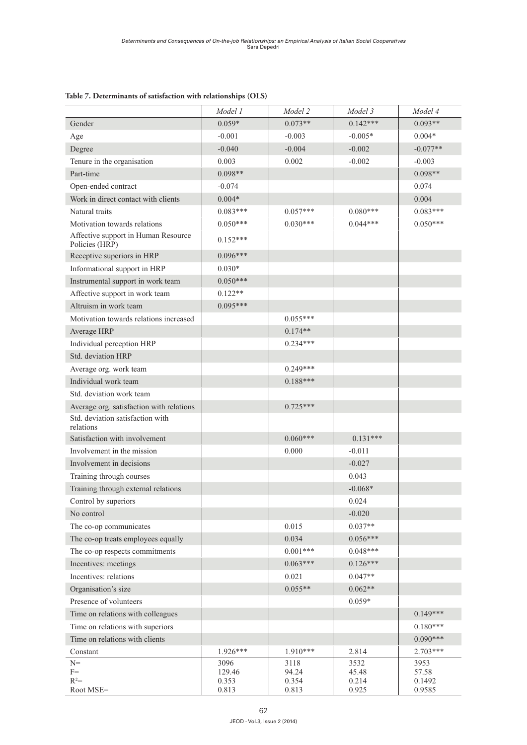|                                                       | Model 1        | Model 2        | Model 3        | Model 4          |
|-------------------------------------------------------|----------------|----------------|----------------|------------------|
| Gender                                                | $0.059*$       | $0.073**$      | $0.142***$     | $0.093**$        |
| Age                                                   | $-0.001$       | $-0.003$       | $-0.005*$      | $0.004*$         |
| Degree                                                | $-0.040$       | $-0.004$       | $-0.002$       | $-0.077**$       |
| Tenure in the organisation                            | 0.003          | 0.002          | $-0.002$       | $-0.003$         |
| Part-time                                             | $0.098**$      |                |                | $0.098**$        |
| Open-ended contract                                   | $-0.074$       |                |                | 0.074            |
| Work in direct contact with clients                   | $0.004*$       |                |                | 0.004            |
| Natural traits                                        | $0.083***$     | $0.057***$     | $0.080***$     | $0.083***$       |
| Motivation towards relations                          | $0.050***$     | $0.030***$     | $0.044***$     | $0.050***$       |
| Affective support in Human Resource<br>Policies (HRP) | $0.152***$     |                |                |                  |
| Receptive superiors in HRP                            | $0.096***$     |                |                |                  |
| Informational support in HRP                          | $0.030*$       |                |                |                  |
| Instrumental support in work team                     | $0.050***$     |                |                |                  |
| Affective support in work team                        | $0.122**$      |                |                |                  |
| Altruism in work team                                 | $0.095***$     |                |                |                  |
| Motivation towards relations increased                |                | $0.055***$     |                |                  |
| Average HRP                                           |                | $0.174**$      |                |                  |
| Individual perception HRP                             |                | $0.234***$     |                |                  |
| Std. deviation HRP                                    |                |                |                |                  |
| Average org. work team                                |                | $0.249***$     |                |                  |
| Individual work team                                  |                | $0.188***$     |                |                  |
| Std. deviation work team                              |                |                |                |                  |
| Average org. satisfaction with relations              |                | $0.725***$     |                |                  |
| Std. deviation satisfaction with                      |                |                |                |                  |
| relations<br>Satisfaction with involvement            |                | $0.060***$     | $0.131***$     |                  |
| Involvement in the mission                            |                | 0.000          | $-0.011$       |                  |
| Involvement in decisions                              |                |                | $-0.027$       |                  |
| Training through courses                              |                |                | 0.043          |                  |
| Training through external relations                   |                |                | $-0.068*$      |                  |
| Control by superiors                                  |                |                | 0.024          |                  |
| No control                                            |                |                | $-0.020$       |                  |
| The co-op communicates                                |                | 0.015          | $0.037**$      |                  |
| The co-op treats employees equally                    |                | 0.034          | $0.056***$     |                  |
| The co-op respects commitments                        |                | $0.001***$     | $0.048***$     |                  |
| Incentives: meetings                                  |                | $0.063***$     | $0.126***$     |                  |
| Incentives: relations                                 |                | 0.021          | $0.047**$      |                  |
| Organisation's size                                   |                | $0.055**$      | $0.062**$      |                  |
| Presence of volunteers                                |                |                | $0.059*$       |                  |
| Time on relations with colleagues                     |                |                |                | $0.149***$       |
| Time on relations with superiors                      |                |                |                | $0.180***$       |
| Time on relations with clients                        |                |                |                | $0.090***$       |
| Constant                                              | $1.926***$     | 1.910***       | 2.814          | $2.703***$       |
| $N =$                                                 | 3096           | 3118           | 3532           | 3953             |
| $F =$<br>$R^2=$                                       | 129.46         | 94.24          | 45.48          | 57.58            |
| Root MSE=                                             | 0.353<br>0.813 | 0.354<br>0.813 | 0.214<br>0.925 | 0.1492<br>0.9585 |

### **Table 7. Determinants of satisfaction with relationships (OLS)**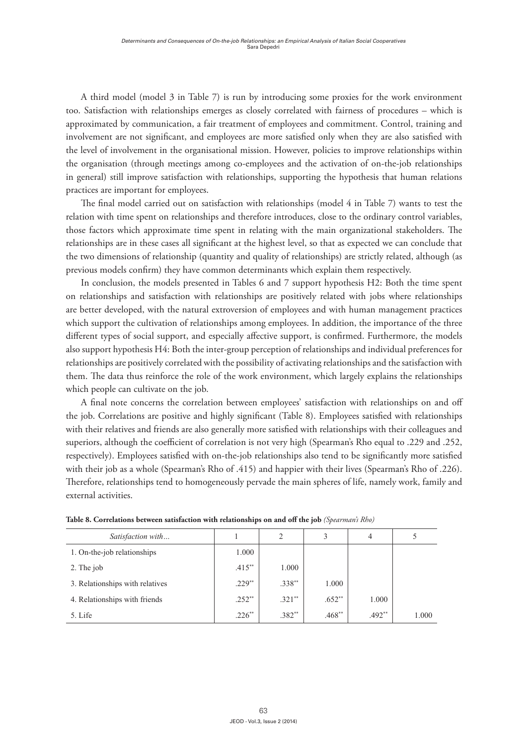A third model (model 3 in Table 7) is run by introducing some proxies for the work environment too. Satisfaction with relationships emerges as closely correlated with fairness of procedures – which is approximated by communication, a fair treatment of employees and commitment. Control, training and involvement are not significant, and employees are more satisfied only when they are also satisfied with the level of involvement in the organisational mission. However, policies to improve relationships within the organisation (through meetings among co-employees and the activation of on-the-job relationships in general) still improve satisfaction with relationships, supporting the hypothesis that human relations practices are important for employees.

The final model carried out on satisfaction with relationships (model 4 in Table 7) wants to test the relation with time spent on relationships and therefore introduces, close to the ordinary control variables, those factors which approximate time spent in relating with the main organizational stakeholders. The relationships are in these cases all significant at the highest level, so that as expected we can conclude that the two dimensions of relationship (quantity and quality of relationships) are strictly related, although (as previous models confirm) they have common determinants which explain them respectively.

In conclusion, the models presented in Tables 6 and 7 support hypothesis H2: Both the time spent on relationships and satisfaction with relationships are positively related with jobs where relationships are better developed, with the natural extroversion of employees and with human management practices which support the cultivation of relationships among employees. In addition, the importance of the three different types of social support, and especially affective support, is confirmed. Furthermore, the models also support hypothesis H4: Both the inter-group perception of relationships and individual preferences for relationships are positively correlated with the possibility of activating relationships and the satisfaction with them. The data thus reinforce the role of the work environment, which largely explains the relationships which people can cultivate on the job.

A final note concerns the correlation between employees' satisfaction with relationships on and off the job. Correlations are positive and highly significant (Table 8). Employees satisfied with relationships with their relatives and friends are also generally more satisfied with relationships with their colleagues and superiors, although the coefficient of correlation is not very high (Spearman's Rho equal to .229 and .252, respectively). Employees satisfied with on-the-job relationships also tend to be significantly more satisfied with their job as a whole (Spearman's Rho of .415) and happier with their lives (Spearman's Rho of .226). Therefore, relationships tend to homogeneously pervade the main spheres of life, namely work, family and external activities.

| Satisfaction with               |           | 2        | 3        | 4        | 5     |
|---------------------------------|-----------|----------|----------|----------|-------|
| 1. On-the-job relationships     | 1.000     |          |          |          |       |
| 2. The job                      | $.415***$ | 1.000    |          |          |       |
| 3. Relationships with relatives | $.229**$  | $.338**$ | 1.000    |          |       |
| 4. Relationships with friends   | $.252**$  | $.321**$ | $.652**$ | 1.000    |       |
| 5. Life                         | $.226**$  | $.382**$ | $.468**$ | $.492**$ | 1.000 |

**Table 8. Correlations between satisfaction with relationships on and off the job** *(Spearman's Rho)*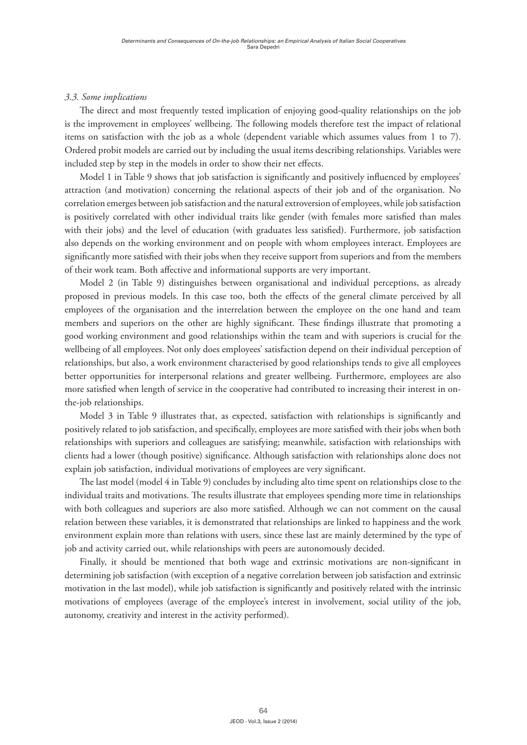# *3.3. Some implications*

The direct and most frequently tested implication of enjoying good-quality relationships on the job is the improvement in employees' wellbeing. The following models therefore test the impact of relational items on satisfaction with the job as a whole (dependent variable which assumes values from 1 to 7). Ordered probit models are carried out by including the usual items describing relationships. Variables were included step by step in the models in order to show their net effects.

Model 1 in Table 9 shows that job satisfaction is significantly and positively influenced by employees' attraction (and motivation) concerning the relational aspects of their job and of the organisation. No correlation emerges between job satisfaction and the natural extroversion of employees, while job satisfaction is positively correlated with other individual traits like gender (with females more satisfied than males with their jobs) and the level of education (with graduates less satisfied). Furthermore, job satisfaction also depends on the working environment and on people with whom employees interact. Employees are significantly more satisfied with their jobs when they receive support from superiors and from the members of their work team. Both affective and informational supports are very important.

Model 2 (in Table 9) distinguishes between organisational and individual perceptions, as already proposed in previous models. In this case too, both the effects of the general climate perceived by all employees of the organisation and the interrelation between the employee on the one hand and team members and superiors on the other are highly significant. These findings illustrate that promoting a good working environment and good relationships within the team and with superiors is crucial for the wellbeing of all employees. Not only does employees' satisfaction depend on their individual perception of relationships, but also, a work environment characterised by good relationships tends to give all employees better opportunities for interpersonal relations and greater wellbeing. Furthermore, employees are also more satisfied when length of service in the cooperative had contributed to increasing their interest in onthe-job relationships.

Model 3 in Table 9 illustrates that, as expected, satisfaction with relationships is significantly and positively related to job satisfaction, and specifically, employees are more satisfied with their jobs when both relationships with superiors and colleagues are satisfying; meanwhile, satisfaction with relationships with clients had a lower (though positive) significance. Although satisfaction with relationships alone does not explain job satisfaction, individual motivations of employees are very significant.

The last model (model 4 in Table 9) concludes by including alto time spent on relationships close to the individual traits and motivations. The results illustrate that employees spending more time in relationships with both colleagues and superiors are also more satisfied. Although we can not comment on the causal relation between these variables, it is demonstrated that relationships are linked to happiness and the work environment explain more than relations with users, since these last are mainly determined by the type of job and activity carried out, while relationships with peers are autonomously decided.

Finally, it should be mentioned that both wage and extrinsic motivations are non-significant in determining job satisfaction (with exception of a negative correlation between job satisfaction and extrinsic motivation in the last model), while job satisfaction is significantly and positively related with the intrinsic motivations of employees (average of the employee's interest in involvement, social utility of the job, autonomy, creativity and interest in the activity performed).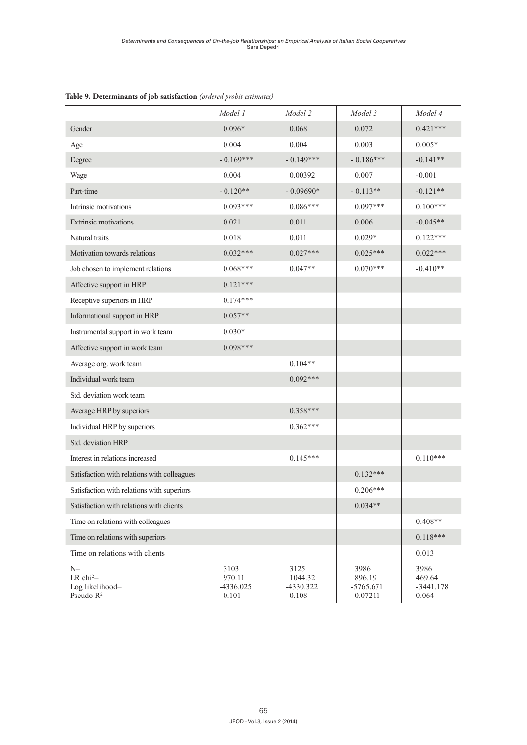|                                                                                   | Model 1                              | Model 2                               | Model 3                                  | Model 4                                |
|-----------------------------------------------------------------------------------|--------------------------------------|---------------------------------------|------------------------------------------|----------------------------------------|
| Gender                                                                            | $0.096*$                             | 0.068                                 | 0.072                                    | $0.421***$                             |
| Age                                                                               | 0.004                                | 0.004                                 | 0.003                                    | $0.005*$                               |
| Degree                                                                            | $-0.169***$                          | $-0.149***$                           | $-0.186***$                              | $-0.141**$                             |
| Wage                                                                              | 0.004                                | 0.00392                               | 0.007                                    | $-0.001$                               |
| Part-time                                                                         | $-0.120**$                           | $-0.09690*$                           | $-0.113**$                               | $-0.121**$                             |
| Intrinsic motivations                                                             | $0.093***$                           | $0.086***$                            | $0.097***$                               | $0.100***$                             |
| Extrinsic motivations                                                             | 0.021                                | 0.011                                 | 0.006                                    | $-0.045**$                             |
| Natural traits                                                                    | 0.018                                | 0.011                                 | $0.029*$                                 | $0.122***$                             |
| Motivation towards relations                                                      | $0.032***$                           | $0.027***$                            | $0.025***$                               | $0.022***$                             |
| Job chosen to implement relations                                                 | $0.068***$                           | $0.047**$                             | $0.070***$                               | $-0.410**$                             |
| Affective support in HRP                                                          | $0.121***$                           |                                       |                                          |                                        |
| Receptive superiors in HRP                                                        | $0.174***$                           |                                       |                                          |                                        |
| Informational support in HRP                                                      | $0.057**$                            |                                       |                                          |                                        |
| Instrumental support in work team                                                 | $0.030*$                             |                                       |                                          |                                        |
| Affective support in work team                                                    | $0.098***$                           |                                       |                                          |                                        |
| Average org. work team                                                            |                                      | $0.104**$                             |                                          |                                        |
| Individual work team                                                              |                                      | $0.092***$                            |                                          |                                        |
| Std. deviation work team                                                          |                                      |                                       |                                          |                                        |
| Average HRP by superiors                                                          |                                      | $0.358***$                            |                                          |                                        |
| Individual HRP by superiors                                                       |                                      | $0.362***$                            |                                          |                                        |
| Std. deviation HRP                                                                |                                      |                                       |                                          |                                        |
| Interest in relations increased                                                   |                                      | $0.145***$                            |                                          | $0.110***$                             |
| Satisfaction with relations with colleagues                                       |                                      |                                       | $0.132***$                               |                                        |
| Satisfaction with relations with superiors                                        |                                      |                                       | $0.206***$                               |                                        |
| Satisfaction with relations with clients                                          |                                      |                                       | $0.034**$                                |                                        |
| Time on relations with colleagues                                                 |                                      |                                       |                                          | $0.408**$                              |
| Time on relations with superiors                                                  |                                      |                                       |                                          | $0.118***$                             |
| Time on relations with clients                                                    |                                      |                                       |                                          | 0.013                                  |
| $N =$<br>$LR$ chi <sup>2<math>=</math></sup><br>Log likelihood=<br>Pseudo $R^2$ = | 3103<br>970.11<br>-4336.025<br>0.101 | 3125<br>1044.32<br>-4330.322<br>0.108 | 3986<br>896.19<br>$-5765.671$<br>0.07211 | 3986<br>469.64<br>$-3441.178$<br>0.064 |

# **Table 9. Determinants of job satisfaction** *(ordered probit estimates)*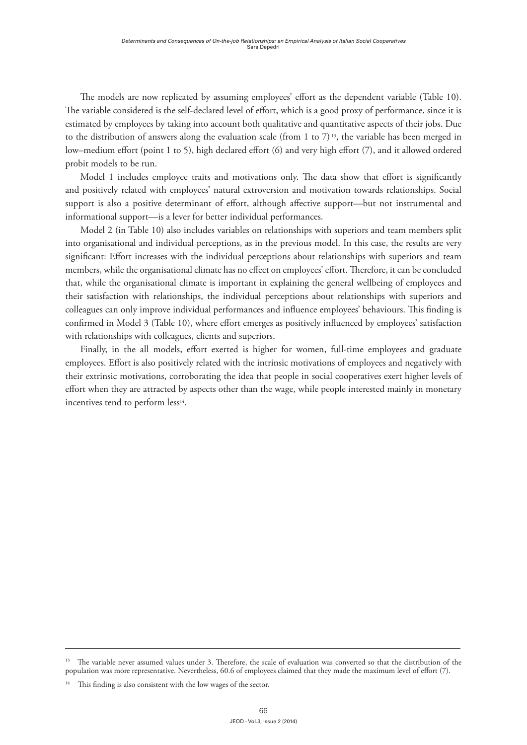The models are now replicated by assuming employees' effort as the dependent variable (Table 10). The variable considered is the self-declared level of effort, which is a good proxy of performance, since it is estimated by employees by taking into account both qualitative and quantitative aspects of their jobs. Due to the distribution of answers along the evaluation scale (from 1 to 7)<sup>13</sup>, the variable has been merged in low–medium effort (point 1 to 5), high declared effort (6) and very high effort (7), and it allowed ordered probit models to be run.

Model 1 includes employee traits and motivations only. The data show that effort is significantly and positively related with employees' natural extroversion and motivation towards relationships. Social support is also a positive determinant of effort, although affective support—but not instrumental and informational support—is a lever for better individual performances.

Model 2 (in Table 10) also includes variables on relationships with superiors and team members split into organisational and individual perceptions, as in the previous model. In this case, the results are very significant: Effort increases with the individual perceptions about relationships with superiors and team members, while the organisational climate has no effect on employees' effort. Therefore, it can be concluded that, while the organisational climate is important in explaining the general wellbeing of employees and their satisfaction with relationships, the individual perceptions about relationships with superiors and colleagues can only improve individual performances and influence employees' behaviours. This finding is confirmed in Model 3 (Table 10), where effort emerges as positively influenced by employees' satisfaction with relationships with colleagues, clients and superiors.

Finally, in the all models, effort exerted is higher for women, full-time employees and graduate employees. Effort is also positively related with the intrinsic motivations of employees and negatively with their extrinsic motivations, corroborating the idea that people in social cooperatives exert higher levels of effort when they are attracted by aspects other than the wage, while people interested mainly in monetary incentives tend to perform less<sup>14</sup>.

<sup>&</sup>lt;sup>13</sup> The variable never assumed values under 3. Therefore, the scale of evaluation was converted so that the distribution of the population was more representative. Nevertheless, 60.6 of employees claimed that they made the maximum level of effort (7).

This finding is also consistent with the low wages of the sector.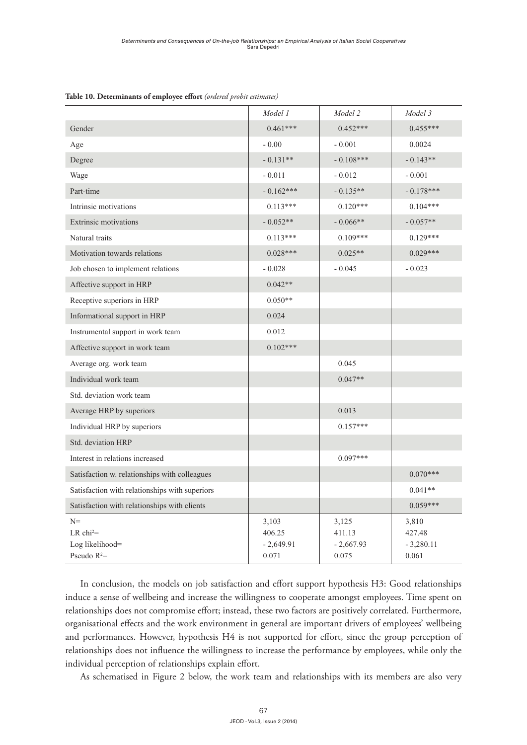|                                                                     | Model 1                                 | Model 2                                 | Model 3                                 |
|---------------------------------------------------------------------|-----------------------------------------|-----------------------------------------|-----------------------------------------|
| Gender                                                              | $0.461***$                              | $0.452***$                              | $0.455***$                              |
| Age                                                                 | $-0.00$                                 | $-0.001$                                | 0.0024                                  |
| Degree                                                              | $-0.131**$                              | $-0.108***$                             | $-0.143**$                              |
| Wage                                                                | $-0.011$                                | $-0.012$                                | $-0.001$                                |
| Part-time                                                           | $-0.162***$                             | $-0.135**$                              | $-0.178***$                             |
| Intrinsic motivations                                               | $0.113***$                              | $0.120***$                              | $0.104***$                              |
| <b>Extrinsic motivations</b>                                        | $-0.052**$                              | $-0.066**$                              | $-0.057**$                              |
| Natural traits                                                      | $0.113***$                              | $0.109***$                              | $0.129***$                              |
| Motivation towards relations                                        | $0.028***$                              | $0.025**$                               | $0.029***$                              |
| Job chosen to implement relations                                   | $-0.028$                                | $-0.045$                                | $-0.023$                                |
| Affective support in HRP                                            | $0.042**$                               |                                         |                                         |
| Receptive superiors in HRP                                          | $0.050**$                               |                                         |                                         |
| Informational support in HRP                                        | 0.024                                   |                                         |                                         |
| Instrumental support in work team                                   | 0.012                                   |                                         |                                         |
| Affective support in work team                                      | $0.102***$                              |                                         |                                         |
| Average org. work team                                              |                                         | 0.045                                   |                                         |
| Individual work team                                                |                                         | $0.047**$                               |                                         |
| Std. deviation work team                                            |                                         |                                         |                                         |
| Average HRP by superiors                                            |                                         | 0.013                                   |                                         |
| Individual HRP by superiors                                         |                                         | $0.157***$                              |                                         |
| Std. deviation HRP                                                  |                                         |                                         |                                         |
| Interest in relations increased                                     |                                         | $0.097***$                              |                                         |
| Satisfaction w. relationships with colleagues                       |                                         |                                         | $0.070***$                              |
| Satisfaction with relationships with superiors                      |                                         |                                         | $0.041**$                               |
| Satisfaction with relationships with clients                        |                                         |                                         | $0.059***$                              |
| $N =$<br>LR chi <sup>2</sup> =<br>Log likelihood=<br>Pseudo $R^2$ = | 3,103<br>406.25<br>$-2,649.91$<br>0.071 | 3,125<br>411.13<br>$-2,667.93$<br>0.075 | 3,810<br>427.48<br>$-3,280.11$<br>0.061 |

**Table 10. Determinants of employee effort** *(ordered probit estimates)*

In conclusion, the models on job satisfaction and effort support hypothesis H3: Good relationships induce a sense of wellbeing and increase the willingness to cooperate amongst employees. Time spent on relationships does not compromise effort; instead, these two factors are positively correlated. Furthermore, organisational effects and the work environment in general are important drivers of employees' wellbeing and performances. However, hypothesis H4 is not supported for effort, since the group perception of relationships does not influence the willingness to increase the performance by employees, while only the individual perception of relationships explain effort.

As schematised in Figure 2 below, the work team and relationships with its members are also very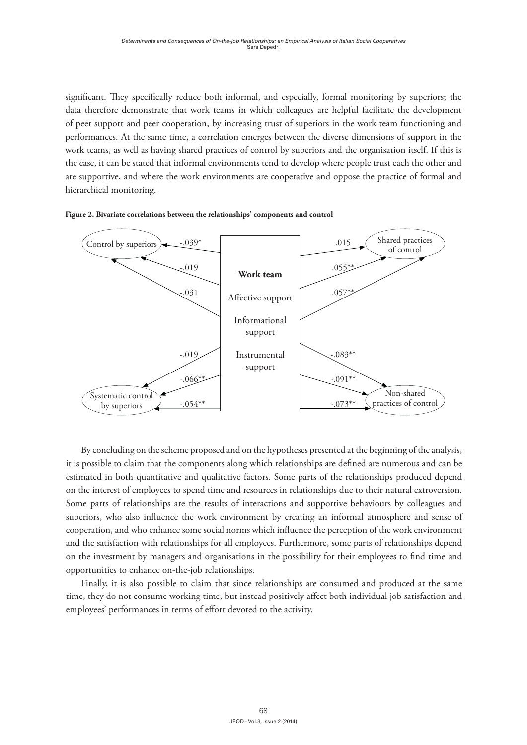significant. They specifically reduce both informal, and especially, formal monitoring by superiors; the data therefore demonstrate that work teams in which colleagues are helpful facilitate the development of peer support and peer cooperation, by increasing trust of superiors in the work team functioning and performances. At the same time, a correlation emerges between the diverse dimensions of support in the work teams, as well as having shared practices of control by superiors and the organisation itself. If this is the case, it can be stated that informal environments tend to develop where people trust each the other and are supportive, and where the work environments are cooperative and oppose the practice of formal and hierarchical monitoring.





By concluding on the scheme proposed and on the hypotheses presented at the beginning of the analysis, it is possible to claim that the components along which relationships are defined are numerous and can be estimated in both quantitative and qualitative factors. Some parts of the relationships produced depend on the interest of employees to spend time and resources in relationships due to their natural extroversion. Some parts of relationships are the results of interactions and supportive behaviours by colleagues and superiors, who also influence the work environment by creating an informal atmosphere and sense of cooperation, and who enhance some social norms which influence the perception of the work environment and the satisfaction with relationships for all employees. Furthermore, some parts of relationships depend on the investment by managers and organisations in the possibility for their employees to find time and opportunities to enhance on-the-job relationships.

Finally, it is also possible to claim that since relationships are consumed and produced at the same time, they do not consume working time, but instead positively affect both individual job satisfaction and employees' performances in terms of effort devoted to the activity.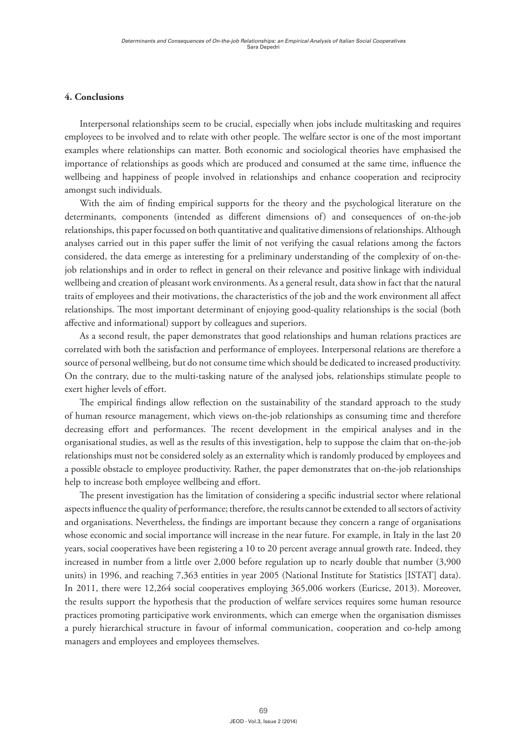#### **4. Conclusions**

Interpersonal relationships seem to be crucial, especially when jobs include multitasking and requires employees to be involved and to relate with other people. The welfare sector is one of the most important examples where relationships can matter. Both economic and sociological theories have emphasised the importance of relationships as goods which are produced and consumed at the same time, influence the wellbeing and happiness of people involved in relationships and enhance cooperation and reciprocity amongst such individuals.

With the aim of finding empirical supports for the theory and the psychological literature on the determinants, components (intended as different dimensions of) and consequences of on-the-job relationships, this paper focussed on both quantitative and qualitative dimensions of relationships. Although analyses carried out in this paper suffer the limit of not verifying the casual relations among the factors considered, the data emerge as interesting for a preliminary understanding of the complexity of on-thejob relationships and in order to reflect in general on their relevance and positive linkage with individual wellbeing and creation of pleasant work environments. As a general result, data show in fact that the natural traits of employees and their motivations, the characteristics of the job and the work environment all affect relationships. The most important determinant of enjoying good-quality relationships is the social (both affective and informational) support by colleagues and superiors.

As a second result, the paper demonstrates that good relationships and human relations practices are correlated with both the satisfaction and performance of employees. Interpersonal relations are therefore a source of personal wellbeing, but do not consume time which should be dedicated to increased productivity. On the contrary, due to the multi-tasking nature of the analysed jobs, relationships stimulate people to exert higher levels of effort.

The empirical findings allow reflection on the sustainability of the standard approach to the study of human resource management, which views on-the-job relationships as consuming time and therefore decreasing effort and performances. The recent development in the empirical analyses and in the organisational studies, as well as the results of this investigation, help to suppose the claim that on-the-job relationships must not be considered solely as an externality which is randomly produced by employees and a possible obstacle to employee productivity. Rather, the paper demonstrates that on-the-job relationships help to increase both employee wellbeing and effort.

The present investigation has the limitation of considering a specific industrial sector where relational aspects influence the quality of performance; therefore, the results cannot be extended to all sectors of activity and organisations. Nevertheless, the findings are important because they concern a range of organisations whose economic and social importance will increase in the near future. For example, in Italy in the last 20 years, social cooperatives have been registering a 10 to 20 percent average annual growth rate. Indeed, they increased in number from a little over 2,000 before regulation up to nearly double that number (3,900 units) in 1996, and reaching 7,363 entities in year 2005 (National Institute for Statistics [ISTAT] data). In 2011, there were 12,264 social cooperatives employing 365,006 workers (Euricse, 2013). Moreover, the results support the hypothesis that the production of welfare services requires some human resource practices promoting participative work environments, which can emerge when the organisation dismisses a purely hierarchical structure in favour of informal communication, cooperation and co-help among managers and employees and employees themselves.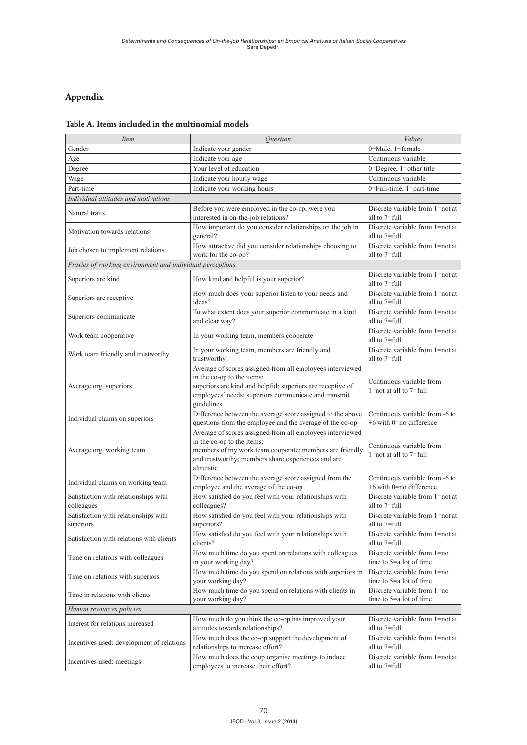# **Appendix**

# **Table A. Items included in the multinomial models**

| <i>Item</i>                                               | Ouestion                                                                                                                                                                                                                    | <b>Values</b>                                               |
|-----------------------------------------------------------|-----------------------------------------------------------------------------------------------------------------------------------------------------------------------------------------------------------------------------|-------------------------------------------------------------|
| Gender                                                    | Indicate your gender                                                                                                                                                                                                        | 0=Male, 1=female                                            |
| Age                                                       | Indicate your age                                                                                                                                                                                                           | Continuous variable                                         |
| Degree                                                    | Your level of education                                                                                                                                                                                                     | $0 =$ Degree, $1 =$ other title                             |
| Wage                                                      | Indicate your hourly wage                                                                                                                                                                                                   | Continuous variable                                         |
| Part-time                                                 | Indicate your working hours                                                                                                                                                                                                 | 0=Full-time, 1=part-time                                    |
| Individual attitudes and motivations                      |                                                                                                                                                                                                                             |                                                             |
| Natural traits                                            | Before you were employed in the co-op, were you<br>interested in on-the-job relations?                                                                                                                                      | Discrete variable from 1=not at<br>all to 7=full            |
| Motivation towards relations                              | How important do you consider relationships on the job in<br>general?                                                                                                                                                       | Discrete variable from 1=not at<br>all to 7=full            |
| Job chosen to implement relations                         | How attractive did you consider relationships choosing to<br>work for the co-op?                                                                                                                                            | Discrete variable from 1=not at<br>all to 7=full            |
| Proxies of working environment and individual perceptions |                                                                                                                                                                                                                             |                                                             |
| Superiors are kind                                        | How kind and helpful is your superior?                                                                                                                                                                                      | Discrete variable from 1=not at<br>all to 7=full            |
| Superiors are receptive                                   | How much does your superior listen to your needs and<br>ideas?                                                                                                                                                              | Discrete variable from 1=not at<br>all to 7=full            |
| Superiors communicate                                     | To what extent does your superior communicate in a kind<br>and clear way?                                                                                                                                                   | Discrete variable from 1=not at<br>all to 7=full            |
| Work team cooperative                                     | In your working team, members cooperate                                                                                                                                                                                     | Discrete variable from 1=not at<br>all to 7=full            |
| Work team friendly and trustworthy                        | In your working team, members are friendly and<br>trustworthy                                                                                                                                                               | Discrete variable from 1=not at<br>all to 7=full            |
| Average org. superiors                                    | Average of scores assigned from all employees interviewed<br>in the co-op to the items:<br>superiors are kind and helpful; superiors are receptive of<br>employees' needs; superiors communicate and transmit<br>guidelines | Continuous variable from<br>$1$ =not at all to $7$ =full    |
| Individual claims on superiors                            | Difference between the average score assigned to the above<br>questions from the employee and the average of the co-op                                                                                                      | Continuous variable from -6 to<br>$+6$ with 0=no difference |
| Average org. working team                                 | Average of scores assigned from all employees interviewed<br>in the co-op to the items:<br>members of my work team cooperate; members are friendly<br>and trustworthy; members share experiences and are<br>altruistic      | Continuous variable from<br>$1$ =not at all to $7$ =full    |
| Individual claims on working team                         | Difference between the average score assigned from the<br>employee and the average of the co-op                                                                                                                             | Continuous variable from -6 to<br>$+6$ with 0=no difference |
| Satisfaction with relationships with<br>colleagues        | How satisfied do you feel with your relationships with<br>colleagues?                                                                                                                                                       | Discrete variable from 1=not at<br>all to 7=full            |
| Satisfaction with relationships with<br>superiors         | How satisfied do you feel with your relationships with<br>superiors?                                                                                                                                                        | Discrete variable from 1=not at<br>all to 7=full            |
| Satisfaction with relations with clients                  | How satisfied do you feel with your relationships with<br>clients?                                                                                                                                                          | Discrete variable from 1=not at<br>all to 7=full            |
| Time on relations with colleagues                         | How much time do you spent on relations with colleagues<br>in your working day?                                                                                                                                             | Discrete variable from 1=no<br>time to $5=a$ lot of time    |
| Time on relations with superiors                          | How much time do you spend on relations with superiors in<br>your working day?                                                                                                                                              | Discrete variable from 1=no<br>time to $5=a$ lot of time    |
| Time in relations with clients                            | How much time do you spend on relations with clients in<br>your working day?                                                                                                                                                | Discrete variable from 1=no<br>time to 5=a lot of time      |
| Human resources policies                                  |                                                                                                                                                                                                                             |                                                             |
| Interest for relations increased                          | How much do you think the co-op has improved your<br>attitudes towards relationships?                                                                                                                                       | Discrete variable from 1=not at<br>all to 7=full            |
| Incentives used: development of relations                 | How much does the co-op support the development of<br>relationships to increase effort?                                                                                                                                     | Discrete variable from 1=not at<br>all to 7=full            |
| Incentives used: meetings                                 | How much does the coop organise meetings to induce<br>employees to increase their effort?                                                                                                                                   | Discrete variable from 1=not at<br>all to 7=full            |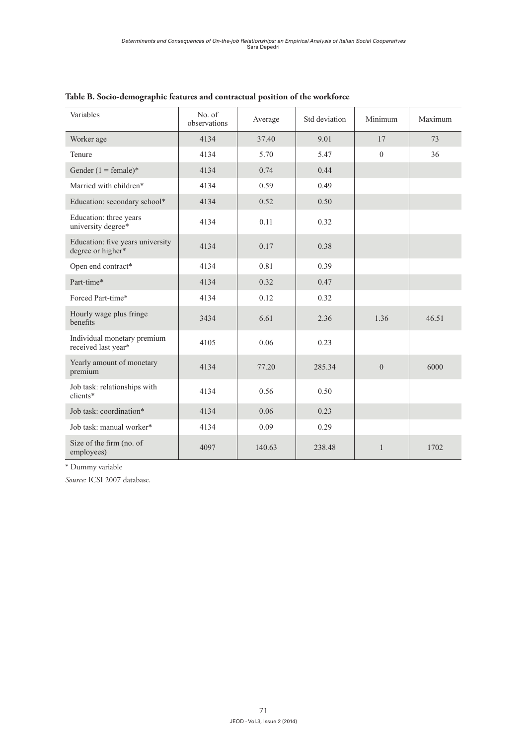| Variables                                             | No. of<br>observations | Average | Std deviation | Minimum      | Maximum |
|-------------------------------------------------------|------------------------|---------|---------------|--------------|---------|
| Worker age                                            | 4134                   | 37.40   | 9.01          | 17           | 73      |
| Tenure                                                | 4134                   | 5.70    | 5.47          | $\theta$     | 36      |
| Gender $(1 = \text{female})^*$                        | 4134                   | 0.74    | 0.44          |              |         |
| Married with children*                                | 4134                   | 0.59    | 0.49          |              |         |
| Education: secondary school*                          | 4134                   | 0.52    | 0.50          |              |         |
| Education: three years<br>university degree*          | 4134                   | 0.11    | 0.32          |              |         |
| Education: five years university<br>degree or higher* | 4134                   | 0.17    | 0.38          |              |         |
| Open end contract*                                    | 4134                   | 0.81    | 0.39          |              |         |
| Part-time*                                            | 4134                   | 0.32    | 0.47          |              |         |
| Forced Part-time*                                     | 4134                   | 0.12    | 0.32          |              |         |
| Hourly wage plus fringe<br>benefits                   | 3434                   | 6.61    | 2.36          | 1.36         | 46.51   |
| Individual monetary premium<br>received last year*    | 4105                   | 0.06    | 0.23          |              |         |
| Yearly amount of monetary<br>premium                  | 4134                   | 77.20   | 285.34        | $\theta$     | 6000    |
| Job task: relationships with<br>clients*              | 4134                   | 0.56    | 0.50          |              |         |
| Job task: coordination*                               | 4134                   | 0.06    | 0.23          |              |         |
| Job task: manual worker*                              | 4134                   | 0.09    | 0.29          |              |         |
| Size of the firm (no. of<br>employees)                | 4097                   | 140.63  | 238.48        | $\mathbf{1}$ | 1702    |

# **Table B. Socio-demographic features and contractual position of the workforce**

\* Dummy variable

*Source:* ICSI 2007 database.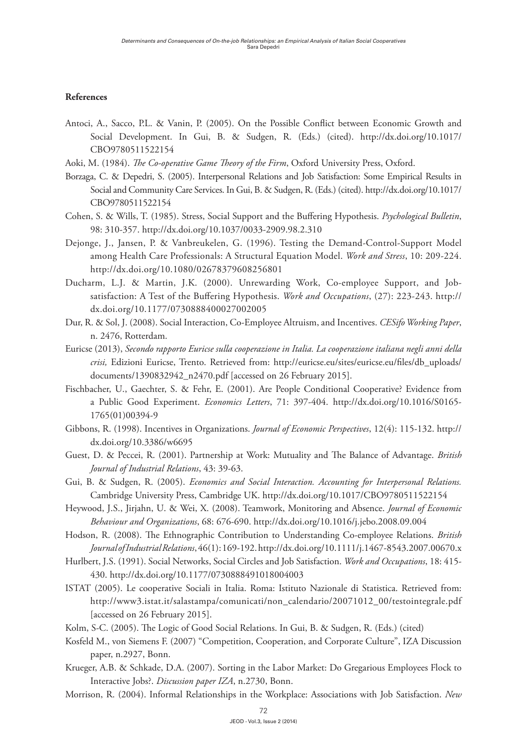# **References**

- Antoci, A., Sacco, P.L. & Vanin, P. (2005). On the Possible Conflict between Economic Growth and Social Development. In Gui, B. & Sudgen, R. (Eds.) (cited). [http://dx.doi.org/10.1017/](http://dx.doi.org/10.1017/CBO9780511522154) [CBO9780511522154](http://dx.doi.org/10.1017/CBO9780511522154)
- Aoki, M. (1984). *The Co-operative Game Theory of the Firm*, Oxford University Press, Oxford.
- Borzaga, C. & Depedri, S. (2005). Interpersonal Relations and Job Satisfaction: Some Empirical Results in Social and Community Care Services. In Gui, B. & Sudgen, R. (Eds.) (cited). [http://dx.doi.org/10.1017/](http://dx.doi.org/10.1017/CBO9780511522154) [CBO9780511522154](http://dx.doi.org/10.1017/CBO9780511522154)
- Cohen, S. & Wills, T. (1985). Stress, Social Support and the Buffering Hypothesis. *Psychological Bulletin*, 98: 310-357. <http://dx.doi.org/10.1037/0033-2909.98.2.310>
- Dejonge, J., Jansen, P. & Vanbreukelen, G. (1996). Testing the Demand-Control-Support Model among Health Care Professionals: A Structural Equation Model. *Work and Stress*, 10: 209-224. <http://dx.doi.org/10.1080/02678379608256801>
- Ducharm, L.J. & Martin, J.K. (2000). Unrewarding Work, Co-employee Support, and Jobsatisfaction: A Test of the Buffering Hypothesis. *Work and Occupations*, (27): 223-243. [http://](http://dx.doi.org/10.1177/0730888400027002005) [dx.doi.org/10.1177/0730888400027002005](http://dx.doi.org/10.1177/0730888400027002005)
- Dur, R. & Sol, J. (2008). Social Interaction, Co-Employee Altruism, and Incentives. *CESifo Working Paper*, n. 2476, Rotterdam.
- Euricse (2013), *Secondo rapporto Euricse sulla cooperazione in Italia. La cooperazione italiana negli anni della crisi,* Edizioni Euricse, Trento. Retrieved from: [http://euricse.eu/sites/euricse.eu/files/db\\_uploads/](http://euricse.eu/sites/euricse.eu/files/db_uploads/documents/1390832942_n2470.pdf) [documents/1390832942\\_n2470.pdf](http://euricse.eu/sites/euricse.eu/files/db_uploads/documents/1390832942_n2470.pdf) [accessed on 26 February 2015].
- Fischbacher, U., Gaechter, S. & Fehr, E. (2001). Are People Conditional Cooperative? Evidence from a Public Good Experiment. *Economics Letters*, 71: 397-404. [http://dx.doi.org/10.1016/S0165-](http://dx.doi.org/10.1016/S0165-1765(01)00394-9) [1765\(01\)00394-9](http://dx.doi.org/10.1016/S0165-1765(01)00394-9)
- Gibbons, R. (1998). Incentives in Organizations. *Journal of Economic Perspectives*, 12(4): 115-132. [http://](http://dx.doi.org/10.3386/w6695) [dx.doi.org/10.3386/w6695](http://dx.doi.org/10.3386/w6695)
- Guest, D. & Peccei, R. (2001). Partnership at Work: Mutuality and The Balance of Advantage. *British Journal of Industrial Relations*, 43: 39-63.
- Gui, B. & Sudgen, R. (2005). *Economics and Social Interaction. Accounting for Interpersonal Relations.* Cambridge University Press, Cambridge UK. <http://dx.doi.org/10.1017/CBO9780511522154>
- Heywood, J.S., Jirjahn, U. & Wei, X. (2008). Teamwork, Monitoring and Absence. *Journal of Economic Behaviour and Organizations*, 68: 676-690. <http://dx.doi.org/10.1016/j.jebo.2008.09.004>
- Hodson, R. (2008). The Ethnographic Contribution to Understanding Co-employee Relations. *British Journal of Industrial Relations*, 46(1): 169-192.<http://dx.doi.org/10.1111/j.1467-8543.2007.00670.x>
- Hurlbert, J.S. (1991). Social Networks, Social Circles and Job Satisfaction. *Work and Occupations*, 18: 415- 430.<http://dx.doi.org/10.1177/0730888491018004003>
- ISTAT (2005). Le cooperative Sociali in Italia. Roma: Istituto Nazionale di Statistica. Retrieved from: [http://www3.istat.it/salastampa/comunicati/non\\_calendario/20071012\\_00/testointegrale.pdf](http://www3.istat.it/salastampa/comunicati/non_calendario/20071012_00/testointegrale.pdf) [accessed on 26 February 2015].
- Kolm, S-C. (2005). The Logic of Good Social Relations. In Gui, B. & Sudgen, R. (Eds.) (cited)
- Kosfeld M., von Siemens F. (2007) "Competition, Cooperation, and Corporate Culture", IZA Discussion paper, n.2927, Bonn.
- Krueger, A.B. & Schkade, D.A. (2007). Sorting in the Labor Market: Do Gregarious Employees Flock to Interactive Jobs?. *Discussion paper IZA*, n.2730, Bonn.
- Morrison, R. (2004). Informal Relationships in the Workplace: Associations with Job Satisfaction. *New*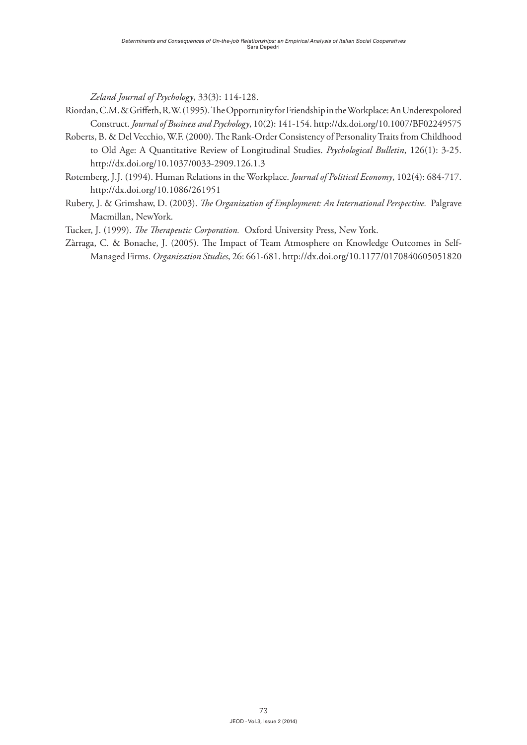*Zeland Journal of Psychology*, 33(3): 114-128.

- Riordan, C.M. & Griffeth, R.W. (1995). The Opportunity for Friendship in the Workplace: An Underexpolored Construct. *Journal of Business and Psychology*, 10(2): 141-154.<http://dx.doi.org/10.1007/BF02249575>
- Roberts, B. & Del Vecchio, W.F. (2000). The Rank-Order Consistency of Personality Traits from Childhood to Old Age: A Quantitative Review of Longitudinal Studies. *Psychological Bulletin*, 126(1): 3-25. <http://dx.doi.org/10.1037/0033-2909.126.1.3>
- Rotemberg, J.J. (1994). Human Relations in the Workplace. *Journal of Political Economy*, 102(4): 684-717. <http://dx.doi.org/10.1086/261951>
- Rubery, J. & Grimshaw, D. (2003). *The Organization of Employment: An International Perspective.* Palgrave Macmillan, NewYork.
- Tucker, J. (1999). *The Therapeutic Corporation.* Oxford University Press, New York.
- Zàrraga, C. & Bonache, J. (2005). The Impact of Team Atmosphere on Knowledge Outcomes in Self-Managed Firms. *Organization Studies*, 26: 661-681.<http://dx.doi.org/10.1177/0170840605051820>